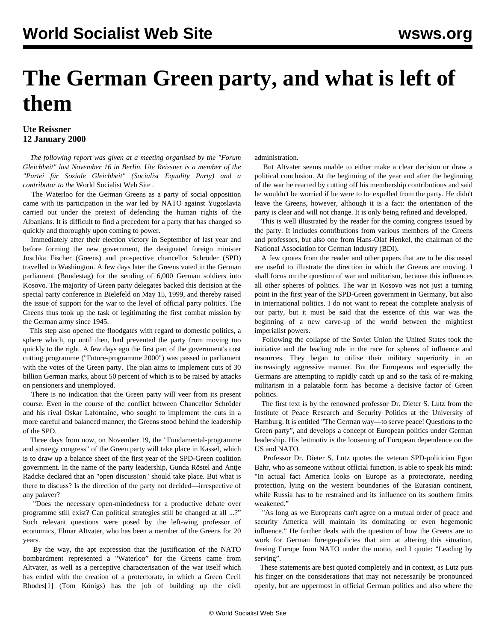## **The German Green party, and what is left of them**

## **Ute Reissner 12 January 2000**

 *The following report was given at a meeting organised by the "Forum Gleichheit" last November 16 in Berlin. Ute Reissner is a member of the "Partei für Soziale Gleichheit" (Socialist Equality Party) and a contributor to the* World Socialist Web Site *.*

 The Waterloo for the German Greens as a party of social opposition came with its participation in the war led by NATO against Yugoslavia carried out under the pretext of defending the human rights of the Albanians. It is difficult to find a precedent for a party that has changed so quickly and thoroughly upon coming to power.

 Immediately after their election victory in September of last year and before forming the new government, the designated foreign minister Joschka Fischer (Greens) and prospective chancellor Schröder (SPD) travelled to Washington. A few days later the Greens voted in the German parliament (Bundestag) for the sending of 6,000 German soldiers into Kosovo. The majority of Green party delegates backed this decision at the special party conference in Bielefeld on May 15, 1999, and thereby raised the issue of support for the war to the level of official party politics. The Greens thus took up the task of legitimating the first combat mission by the German army since 1945.

 This step also opened the floodgates with regard to domestic politics, a sphere which, up until then, had prevented the party from moving too quickly to the right. A few days ago the first part of the government's cost cutting programme ("Future-programme 2000") was passed in parliament with the votes of the Green party. The plan aims to implement cuts of 30 billion German marks, about 50 percent of which is to be raised by attacks on pensioners and unemployed.

 There is no indication that the Green party will veer from its present course. Even in the course of the conflict between Chancellor Schröder and his rival Oskar Lafontaine, who sought to implement the cuts in a more careful and balanced manner, the Greens stood behind the leadership of the SPD.

 Three days from now, on November 19, the "Fundamental-programme and strategy congress" of the Green party will take place in Kassel, which is to draw up a balance sheet of the first year of the SPD-Green coalition government. In the name of the party leadership, Gunda Röstel and Antje Radcke declared that an "open discussion" should take place. But what is there to discuss? Is the direction of the party not decided—irrespective of any palaver?

 "Does the necessary open-mindedness for a productive debate over programme still exist? Can political strategies still be changed at all ...?" Such relevant questions were posed by the left-wing professor of economics, Elmar Altvater, who has been a member of the Greens for 20 years.

 By the way, the apt expression that the justification of the NATO bombardment represented a "Waterloo" for the Greens came from Altvater, as well as a perceptive characterisation of the war itself which has ended with the creation of a protectorate, in which a Green Cecil Rhodes[1] (Tom Königs) has the job of building up the civil administration.

 But Altvater seems unable to either make a clear decision or draw a political conclusion. At the beginning of the year and after the beginning of the war he reacted by cutting off his membership contributions and said he wouldn't be worried if he were to be expelled from the party. He didn't leave the Greens, however, although it is a fact: the orientation of the party is clear and will not change. It is only being refined and developed.

 This is well illustrated by the reader for the coming congress issued by the party. It includes contributions from various members of the Greens and professors, but also one from Hans-Olaf Henkel, the chairman of the National Association for German Industry (BDI).

 A few quotes from the reader and other papers that are to be discussed are useful to illustrate the direction in which the Greens are moving. I shall focus on the question of war and militarism, because this influences all other spheres of politics. The war in Kosovo was not just a turning point in the first year of the SPD-Green government in Germany, but also in international politics. I do not want to repeat the complete analysis of our party, but it must be said that the essence of this war was the beginning of a new carve-up of the world between the mightiest imperialist powers.

 Following the collapse of the Soviet Union the United States took the initiative and the leading role in the race for spheres of influence and resources. They began to utilise their military superiority in an increasingly aggressive manner. But the Europeans and especially the Germans are attempting to rapidly catch up and so the task of re-making militarism in a palatable form has become a decisive factor of Green politics.

 The first text is by the renowned professor Dr. Dieter S. Lutz from the Institute of Peace Research and Security Politics at the University of Hamburg. It is entitled "The German way—to serve peace! Questions to the Green party", and develops a concept of European politics under German leadership. His leitmotiv is the loosening of European dependence on the US and NATO.

 Professor Dr. Dieter S. Lutz quotes the veteran SPD-politician Egon Bahr, who as someone without official function, is able to speak his mind: "In actual fact America looks on Europe as a protectorate, needing protection, lying on the western boundaries of the Eurasian continent, while Russia has to be restrained and its influence on its southern limits weakened."

 "As long as we Europeans can't agree on a mutual order of peace and security America will maintain its dominating or even hegemonic influence." He further deals with the question of how the Greens are to work for German foreign-policies that aim at altering this situation, freeing Europe from NATO under the motto, and I quote: "Leading by serving".

 These statements are best quoted completely and in context, as Lutz puts his finger on the considerations that may not necessarily be pronounced openly, but are uppermost in official German politics and also where the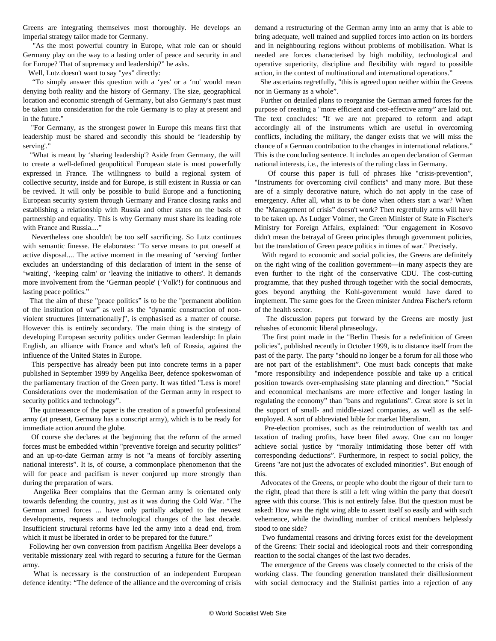Greens are integrating themselves most thoroughly. He develops an imperial strategy tailor made for Germany.

 "As the most powerful country in Europe, what role can or should Germany play on the way to a lasting order of peace and security in and for Europe? That of supremacy and leadership?" he asks.

Well, Lutz doesn't want to say "yes" directly:

 "To simply answer this question with a 'yes' or a 'no' would mean denying both reality and the history of Germany. The size, geographical location and economic strength of Germany, but also Germany's past must be taken into consideration for the role Germany is to play at present and in the future."

 "For Germany, as the strongest power in Europe this means first that leadership must be shared and secondly this should be 'leadership by serving'."

 "What is meant by 'sharing leadership'? Aside from Germany, the will to create a well-defined geopolitical European state is most powerfully expressed in France. The willingness to build a regional system of collective security, inside and for Europe, is still existent in Russia or can be revived. It will only be possible to build Europe and a functioning European security system through Germany and France closing ranks and establishing a relationship with Russia and other states on the basis of partnership and equality. This is why Germany must share its leading role with France and Russia...."

 Nevertheless one shouldn't be too self sacrificing. So Lutz continues with semantic finesse. He elaborates: "To serve means to put oneself at active disposal.... The active moment in the meaning of 'serving' further excludes an understanding of this declaration of intent in the sense of 'waiting', 'keeping calm' or 'leaving the initiative to others'. It demands more involvement from the 'German people' ('Volk'!) for continuous and lasting peace politics."

 That the aim of these "peace politics" is to be the "permanent abolition of the institution of war" as well as the "dynamic construction of nonviolent structures [internationally]", is emphasised as a matter of course. However this is entirely secondary. The main thing is the strategy of developing European security politics under German leadership: In plain English, an alliance with France and what's left of Russia, against the influence of the United States in Europe.

 This perspective has already been put into concrete terms in a paper published in September 1999 by Angelika Beer, defence spokeswoman of the parliamentary fraction of the Green party. It was titled "Less is more! Considerations over the modernisation of the German army in respect to security politics and technology".

 The quintessence of the paper is the creation of a powerful professional army (at present, Germany has a conscript army), which is to be ready for immediate action around the globe.

 Of course she declares at the beginning that the reform of the armed forces must be embedded within "preventive foreign and security politics" and an up-to-date German army is not "a means of forcibly asserting national interests". It is, of course, a commonplace phenomenon that the will for peace and pacifism is never conjured up more strongly than during the preparation of wars.

 Angelika Beer complains that the German army is orientated only towards defending the country, just as it was during the Cold War. "The German armed forces ... have only partially adapted to the newest developments, requests and technological changes of the last decade. Insufficient structural reforms have led the army into a dead end, from which it must be liberated in order to be prepared for the future."

 Following her own conversion from pacifism Angelika Beer develops a veritable missionary zeal with regard to securing a future for the German army.

 What is necessary is the construction of an independent European defence identity: "The defence of the alliance and the overcoming of crisis demand a restructuring of the German army into an army that is able to bring adequate, well trained and supplied forces into action on its borders and in neighbouring regions without problems of mobilisation. What is needed are forces characterised by high mobility, technological and operative superiority, discipline and flexibility with regard to possible action, in the context of multinational and international operations."

 She ascertains regretfully, "this is agreed upon neither within the Greens nor in Germany as a whole".

 Further on detailed plans to reorganise the German armed forces for the purpose of creating a "more efficient and cost-effective army" are laid out. The text concludes: "If we are not prepared to reform and adapt accordingly all of the instruments which are useful in overcoming conflicts, including the military, the danger exists that we will miss the chance of a German contribution to the changes in international relations." This is the concluding sentence. It includes an open declaration of German national interests, i.e., the interests of the ruling class in Germany.

 Of course this paper is full of phrases like "crisis-prevention", "Instruments for overcoming civil conflicts" and many more. But these are of a simply decorative nature, which do not apply in the case of emergency. After all, what is to be done when others start a war? When the "Management of crisis" doesn't work? Then regretfully arms will have to be taken up. As Ludger Volmer, the Green Minister of State in Fischer's Ministry for Foreign Affairs, explained: "Our engagement in Kosovo didn't mean the betrayal of Green principles through government policies, but the translation of Green peace politics in times of war." Precisely.

 With regard to economic and social policies, the Greens are definitely on the right wing of the coalition government—in many aspects they are even further to the right of the conservative CDU. The cost-cutting programme, that they pushed through together with the social democrats, goes beyond anything the Kohl-government would have dared to implement. The same goes for the Green minister Andrea Fischer's reform of the health sector.

 The discussion papers put forward by the Greens are mostly just rehashes of economic liberal phraseology.

 The first point made in the "Berlin Thesis for a redefinition of Green policies", published recently in October 1999, is to distance itself from the past of the party. The party "should no longer be a forum for all those who are not part of the establishment". One must back concepts that make "more responsibility and independence possible and take up a critical position towards over-emphasising state planning and direction." "Social and economical mechanisms are more effective and longer lasting in regulating the economy" than "bans and regulations". Great store is set in the support of small- and middle-sized companies, as well as the selfemployed. A sort of abbreviated bible for market liberalism.

 Pre-election promises, such as the reintroduction of wealth tax and taxation of trading profits, have been filed away. One can no longer achieve social justice by "morally intimidating those better off with corresponding deductions". Furthermore, in respect to social policy, the Greens "are not just the advocates of excluded minorities". But enough of this.

 Advocates of the Greens, or people who doubt the rigour of their turn to the right, plead that there is still a left wing within the party that doesn't agree with this course. This is not entirely false. But the question must be asked: How was the right wing able to assert itself so easily and with such vehemence, while the dwindling number of critical members helplessly stood to one side?

 Two fundamental reasons and driving forces exist for the development of the Greens: Their social and ideological roots and their corresponding reaction to the social changes of the last two decades.

 The emergence of the Greens was closely connected to the crisis of the working class. The founding generation translated their disillusionment with social democracy and the Stalinist parties into a rejection of any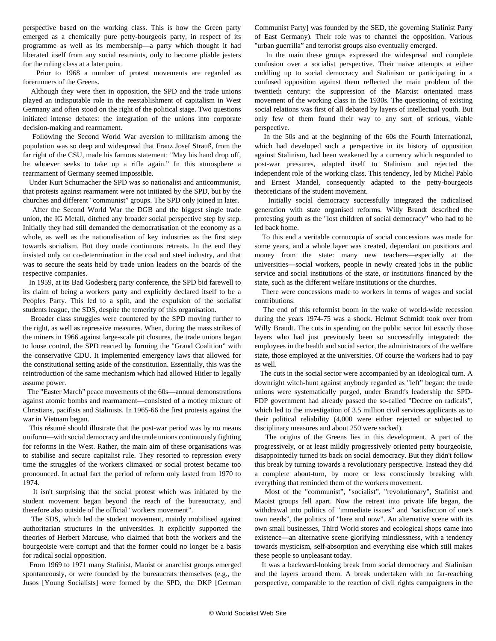perspective based on the working class. This is how the Green party emerged as a chemically pure petty-bourgeois party, in respect of its programme as well as its membership—a party which thought it had liberated itself from any social restraints, only to become pliable jesters for the ruling class at a later point.

 Prior to 1968 a number of protest movements are regarded as forerunners of the Greens.

 Although they were then in opposition, the SPD and the trade unions played an indisputable role in the reestablishment of capitalism in West Germany and often stood on the right of the political stage. Two questions initiated intense debates: the integration of the unions into corporate decision-making and rearmament.

 Following the Second World War aversion to militarism among the population was so deep and widespread that Franz Josef Strauß, from the far right of the CSU, made his famous statement: "May his hand drop off, he whoever seeks to take up a rifle again." In this atmosphere a rearmament of Germany seemed impossible.

 Under Kurt Schumacher the SPD was so nationalist and anticommunist, that protests against rearmament were not initiated by the SPD, but by the churches and different "communist" groups. The SPD only joined in later.

 After the Second World War the DGB and the biggest single trade union, the IG Metall, ditched any broader social perspective step by step. Initially they had still demanded the democratisation of the economy as a whole, as well as the nationalisation of key industries as the first step towards socialism. But they made continuous retreats. In the end they insisted only on co-determination in the coal and steel industry, and that was to secure the seats held by trade union leaders on the boards of the respective companies.

 In 1959, at its Bad Godesberg party conference, the SPD bid farewell to its claim of being a workers party and explicitly declared itself to be a Peoples Party. This led to a split, and the expulsion of the socialist students league, the SDS, despite the temerity of this organisation.

 Broader class struggles were countered by the SPD moving further to the right, as well as repressive measures. When, during the mass strikes of the miners in 1966 against large-scale pit closures, the trade unions began to loose control, the SPD reacted by forming the "Grand Coalition" with the conservative CDU. It implemented emergency laws that allowed for the constitutional setting aside of the constitution. Essentially, this was the reintroduction of the same mechanism which had allowed Hitler to legally assume power.

 The "Easter March" peace movements of the 60s—annual demonstrations against atomic bombs and rearmament—consisted of a motley mixture of Christians, pacifists and Stalinists. In 1965-66 the first protests against the war in Vietnam began.

 This résumé should illustrate that the post-war period was by no means uniform—with social democracy and the trade unions continuously fighting for reforms in the West. Rather, the main aim of these organisations was to stabilise and secure capitalist rule. They resorted to repression every time the struggles of the workers climaxed or social protest became too pronounced. In actual fact the period of reform only lasted from 1970 to 1974.

 It isn't surprising that the social protest which was initiated by the student movement began beyond the reach of the bureaucracy, and therefore also outside of the official "workers movement".

 The SDS, which led the student movement, mainly mobilised against authoritarian structures in the universities. It explicitly supported the theories of Herbert Marcuse, who claimed that both the workers and the bourgeoisie were corrupt and that the former could no longer be a basis for radical social opposition.

 From 1969 to 1971 many Stalinist, Maoist or anarchist groups emerged spontaneously, or were founded by the bureaucrats themselves (e.g., the Jusos [Young Socialists] were formed by the SPD, the DKP [German Communist Party] was founded by the SED, the governing Stalinist Party of East Germany). Their role was to channel the opposition. Various "urban guerrilla" and terrorist groups also eventually emerged.

 In the main these groups expressed the widespread and complete confusion over a socialist perspective. Their naive attempts at either cuddling up to social democracy and Stalinism or participating in a confused opposition against them reflected the main problem of the twentieth century: the suppression of the Marxist orientated mass movement of the working class in the 1930s. The questioning of existing social relations was first of all debated by layers of intellectual youth. But only few of them found their way to any sort of serious, viable perspective.

 In the 50s and at the beginning of the 60s the Fourth International, which had developed such a perspective in its history of opposition against Stalinism, had been weakened by a currency which responded to post-war pressures, adapted itself to Stalinism and rejected the independent role of the working class. This tendency, led by Michel Pablo and Ernest Mandel, consequently adapted to the petty-bourgeois theoreticians of the student movement.

 Initially social democracy successfully integrated the radicalised generation with state organised reforms. Willy Brandt described the protesting youth as the "lost children of social democracy" who had to be led back home.

 To this end a veritable cornucopia of social concessions was made for some years, and a whole layer was created, dependant on positions and money from the state: many new teachers—especially at the universities—social workers, people in newly created jobs in the public service and social institutions of the state, or institutions financed by the state, such as the different welfare institutions or the churches.

 There were concessions made to workers in terms of wages and social contributions.

 The end of this reformist boom in the wake of world-wide recession during the years 1974-75 was a shock. Helmut Schmidt took over from Willy Brandt. The cuts in spending on the public sector hit exactly those layers who had just previously been so successfully integrated: the employees in the health and social sector, the administrators of the welfare state, those employed at the universities. Of course the workers had to pay as well.

 The cuts in the social sector were accompanied by an ideological turn. A downright witch-hunt against anybody regarded as "left" began: the trade unions were systematically purged, under Brandt's leadership the SPD-FDP government had already passed the so-called "Decree on radicals", which led to the investigation of 3.5 million civil services applicants as to their political reliability (4,000 were either rejected or subjected to disciplinary measures and about 250 were sacked).

 The origins of the Greens lies in this development. A part of the progressively, or at least mildly progressively oriented petty bourgeoisie, disappointedly turned its back on social democracy. But they didn't follow this break by turning towards a revolutionary perspective. Instead they did a complete about-turn, by more or less consciously breaking with everything that reminded them of the workers movement.

 Most of the "communist", "socialist", "revolutionary", Stalinist and Maoist groups fell apart. Now the retreat into private life began, the withdrawal into politics of "immediate issues" and "satisfaction of one's own needs", the politics of "here and now". An alternative scene with its own small businesses, Third World stores and ecological shops came into existence—an alternative scene glorifying mindlessness, with a tendency towards mysticism, self-absorption and everything else which still makes these people so unpleasant today.

 It was a backward-looking break from social democracy and Stalinism and the layers around them. A break undertaken with no far-reaching perspective, comparable to the reaction of civil rights campaigners in the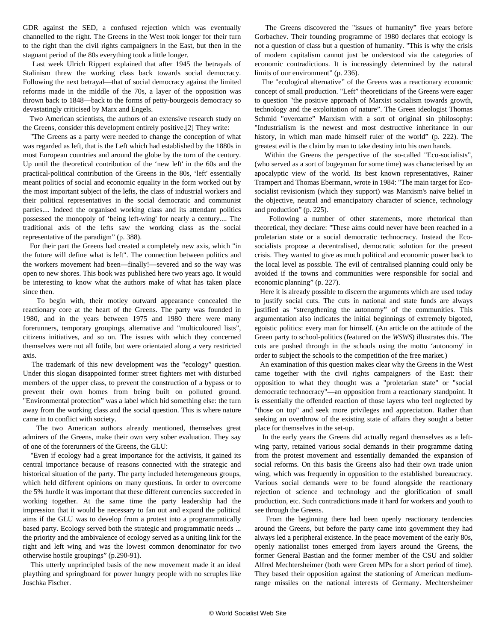GDR against the SED, a confused rejection which was eventually channelled to the right. The Greens in the West took longer for their turn to the right than the civil rights campaigners in the East, but then in the stagnant period of the 80s everything took a little longer.

 Last week Ulrich Rippert explained that after 1945 the betrayals of Stalinism threw the working class back towards social democracy. Following the next betrayal—that of social democracy against the limited reforms made in the middle of the 70s, a layer of the opposition was thrown back to 1848—back to the forms of petty-bourgeois democracy so devastatingly criticised by Marx and Engels.

 Two American scientists, the authors of an extensive research study on the Greens, consider this development entirely positive.[2] They write:

 "The Greens as a party were needed to change the conception of what was regarded as left, that is the Left which had established by the 1880s in most European countries and around the globe by the turn of the century. Up until the theoretical contribution of the 'new left' in the 60s and the practical-political contribution of the Greens in the 80s, 'left' essentially meant politics of social and economic equality in the form worked out by the most important subject of the lefts, the class of industrial workers and their political representatives in the social democratic and communist parties.... Indeed the organised working class and its attendant politics possessed the monopoly of 'being left-wing' for nearly a century.... The traditional axis of the lefts saw the working class as the social representative of the paradigm" (p. 388).

 For their part the Greens had created a completely new axis, which "in the future will define what is left". The connection between politics and the workers movement had been—finally!—severed and so the way was open to new shores. This book was published here two years ago. It would be interesting to know what the authors make of what has taken place since then.

 To begin with, their motley outward appearance concealed the reactionary core at the heart of the Greens. The party was founded in 1980, and in the years between 1975 and 1980 there were many forerunners, temporary groupings, alternative and "multicoloured lists", citizens initiatives, and so on. The issues with which they concerned themselves were not all futile, but were orientated along a very restricted axis.

 The trademark of this new development was the "ecology" question. Under this slogan disappointed former street fighters met with disturbed members of the upper class, to prevent the construction of a bypass or to prevent their own homes from being built on polluted ground. "Environmental protection" was a label which hid something else: the turn away from the working class and the social question. This is where nature came in to conflict with society.

 The two American authors already mentioned, themselves great admirers of the Greens, make their own very sober evaluation. They say of one of the forerunners of the Greens, the GLU:

 "Even if ecology had a great importance for the activists, it gained its central importance because of reasons connected with the strategic and historical situation of the party. The party included heterogeneous groups, which held different opinions on many questions. In order to overcome the 5% hurdle it was important that these different currencies succeeded in working together. At the same time the party leadership had the impression that it would be necessary to fan out and expand the political aims if the GLU was to develop from a protest into a programmatically based party. Ecology served both the strategic and programmatic needs ... the priority and the ambivalence of ecology served as a uniting link for the right and left wing and was the lowest common denominator for two otherwise hostile groupings" (p.290-91).

 This utterly unprincipled basis of the new movement made it an ideal plaything and springboard for power hungry people with no scruples like Joschka Fischer.

 The Greens discovered the "issues of humanity" five years before Gorbachev. Their founding programme of 1980 declares that ecology is not a question of class but a question of humanity. "This is why the crisis of modern capitalism cannot just be understood via the categories of economic contradictions. It is increasingly determined by the natural limits of our environment" (p. 236).

 The "ecological alternative" of the Greens was a reactionary economic concept of small production. "Left" theoreticians of the Greens were eager to question "the positive approach of Marxist socialism towards growth, technology and the exploitation of nature". The Green ideologist Thomas Schmid "overcame" Marxism with a sort of original sin philosophy: "Industrialism is the newest and most destructive inheritance in our history, in which man made himself ruler of the world" (p. 222). The greatest evil is the claim by man to take destiny into his own hands.

 Within the Greens the perspective of the so-called "Eco-socialists", (who served as a sort of bogeyman for some time) was characterised by an apocalyptic view of the world. Its best known representatives, Rainer Trampert and Thomas Ebermann, wrote in 1984: "The main target for Ecosocialist revisionism (which they support) was Marxism's naive belief in the objective, neutral and emancipatory character of science, technology and production" (p. 225).

 Following a number of other statements, more rhetorical than theoretical, they declare: "These aims could never have been reached in a proletarian state or a social democratic technocracy. Instead the Ecosocialists propose a decentralised, democratic solution for the present crisis. They wanted to give as much political and economic power back to the local level as possible. The evil of centralised planning could only be avoided if the towns and communities were responsible for social and economic planning" (p. 227).

 Here it is already possible to discern the arguments which are used today to justify social cuts. The cuts in national and state funds are always justified as "strengthening the autonomy" of the communities. This argumentation also indicates the initial beginnings of extremely bigoted, egoistic politics: every man for himself. (An article on the attitude of the Green party to school-politics (featured on the *WSWS*) illustrates this. The cuts are pushed through in the schools using the motto 'autonomy' in order to subject the schools to the competition of the free market.)

 An examination of this question makes clear why the Greens in the West came together with the civil rights campaigners of the East: their opposition to what they thought was a "proletarian state" or "social democratic technocracy"—an opposition from a reactionary standpoint. It is essentially the offended reaction of those layers who feel neglected by "those on top" and seek more privileges and appreciation. Rather than seeking an overthrow of the existing state of affairs they sought a better place for themselves in the set-up.

 In the early years the Greens did actually regard themselves as a leftwing party, retained various social demands in their programme dating from the protest movement and essentially demanded the expansion of social reforms. On this basis the Greens also had their own trade union wing, which was frequently in opposition to the established bureaucracy. Various social demands were to be found alongside the reactionary rejection of science and technology and the glorification of small production, etc. Such contradictions made it hard for workers and youth to see through the Greens.

 From the beginning there had been openly reactionary tendencies around the Greens, but before the party came into government they had always led a peripheral existence. In the peace movement of the early 80s, openly nationalist tones emerged from layers around the Greens, the former General Bastian and the former member of the CSU and soldier Alfred Mechtersheimer (both were Green MPs for a short period of time). They based their opposition against the stationing of American mediumrange missiles on the national interests of Germany. Mechtersheimer